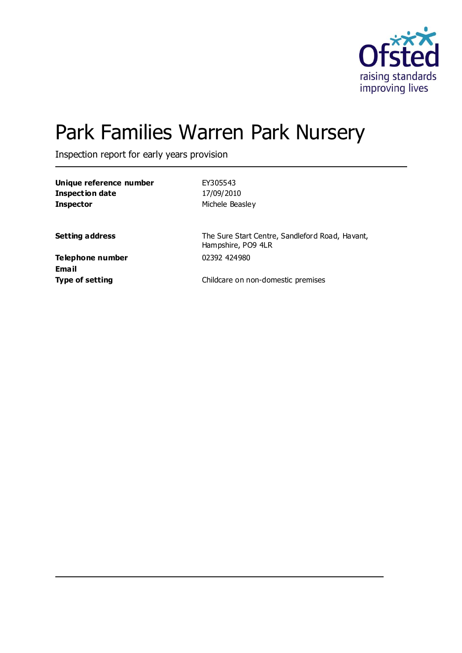

# Park Families Warren Park Nursery

Inspection report for early years provision

| Unique reference number | EY305543        |
|-------------------------|-----------------|
| Inspection date         | 17/09/2010      |
| <b>Inspector</b>        | Michele Beasley |

**Setting address** The Sure Start Centre, Sandleford Road, Havant, Hampshire, PO9 4LR

**Telephone number** 02392 424980 **Email**

**Type of setting** Type of setting **Childcare on non-domestic premises**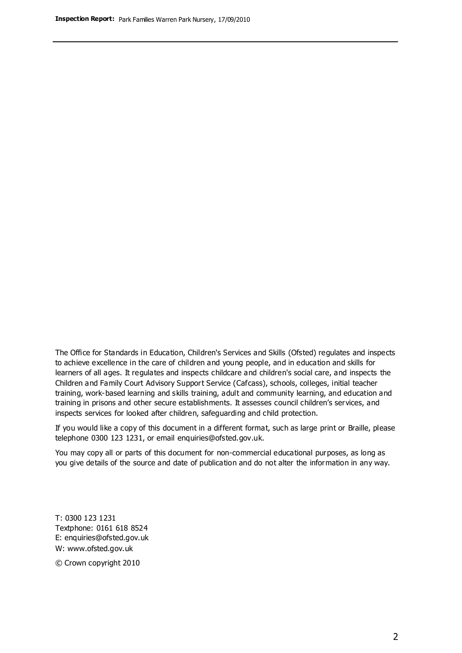The Office for Standards in Education, Children's Services and Skills (Ofsted) regulates and inspects to achieve excellence in the care of children and young people, and in education and skills for learners of all ages. It regulates and inspects childcare and children's social care, and inspects the Children and Family Court Advisory Support Service (Cafcass), schools, colleges, initial teacher training, work-based learning and skills training, adult and community learning, and education and training in prisons and other secure establishments. It assesses council children's services, and inspects services for looked after children, safeguarding and child protection.

If you would like a copy of this document in a different format, such as large print or Braille, please telephone 0300 123 1231, or email enquiries@ofsted.gov.uk.

You may copy all or parts of this document for non-commercial educational purposes, as long as you give details of the source and date of publication and do not alter the information in any way.

T: 0300 123 1231 Textphone: 0161 618 8524 E: enquiries@ofsted.gov.uk W: [www.ofsted.gov.uk](http://www.ofsted.gov.uk/)

© Crown copyright 2010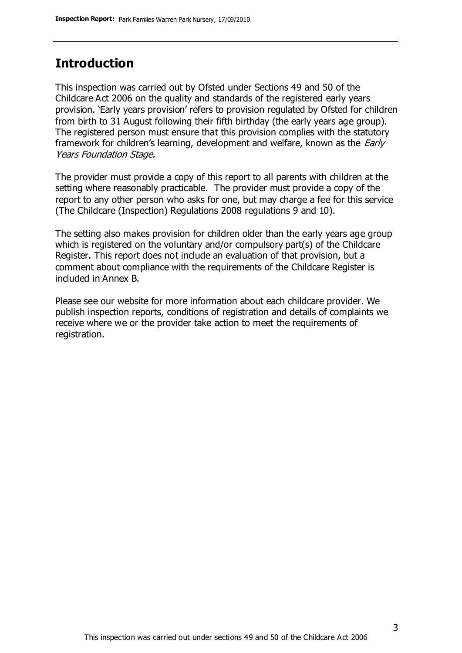# **Introduction**

This inspection was carried out by Ofsted under Sections 49 and 50 of the Childcare Act 2006 on the quality and standards of the registered early years provision. 'Early years provision' refers to provision regulated by Ofsted for children from birth to 31 August following their fifth birthday (the early years age group). The registered person must ensure that this provision complies with the statutory framework for children's learning, development and welfare, known as the *Early* Years Foundation Stage.

The provider must provide a copy of this report to all parents with children at the setting where reasonably practicable. The provider must provide a copy of the report to any other person who asks for one, but may charge a fee for this service (The Childcare (Inspection) Regulations 2008 regulations 9 and 10).

The setting also makes provision for children older than the early years age group which is registered on the voluntary and/or compulsory part(s) of the Childcare Register. This report does not include an evaluation of that provision, but a comment about compliance with the requirements of the Childcare Register is included in Annex B.

Please see our website for more information about each childcare provider. We publish inspection reports, conditions of registration and details of complaints we receive where we or the provider take action to meet the requirements of registration.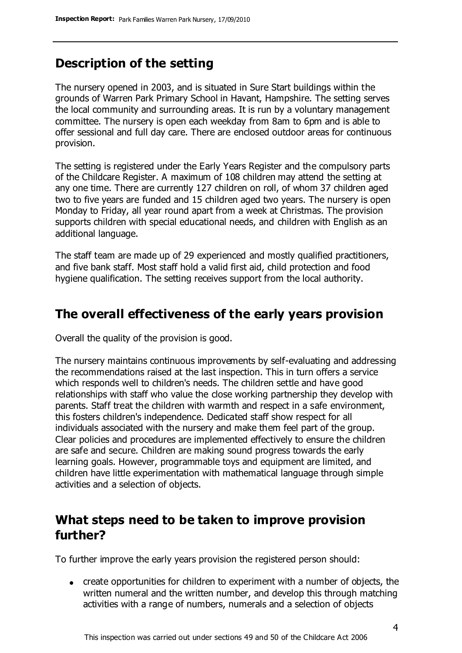# **Description of the setting**

The nursery opened in 2003, and is situated in Sure Start buildings within the grounds of Warren Park Primary School in Havant, Hampshire. The setting serves the local community and surrounding areas. It is run by a voluntary management committee. The nursery is open each weekday from 8am to 6pm and is able to offer sessional and full day care. There are enclosed outdoor areas for continuous provision.

The setting is registered under the Early Years Register and the compulsory parts of the Childcare Register. A maximum of 108 children may attend the setting at any one time. There are currently 127 children on roll, of whom 37 children aged two to five years are funded and 15 children aged two years. The nursery is open Monday to Friday, all year round apart from a week at Christmas. The provision supports children with special educational needs, and children with English as an additional language.

The staff team are made up of 29 experienced and mostly qualified practitioners, and five bank staff. Most staff hold a valid first aid, child protection and food hygiene qualification. The setting receives support from the local authority.

# **The overall effectiveness of the early years provision**

Overall the quality of the provision is good.

The nursery maintains continuous improvements by self-evaluating and addressing the recommendations raised at the last inspection. This in turn offers a service which responds well to children's needs. The children settle and have good relationships with staff who value the close working partnership they develop with parents. Staff treat the children with warmth and respect in a safe environment, this fosters children's independence. Dedicated staff show respect for all individuals associated with the nursery and make them feel part of the group. Clear policies and procedures are implemented effectively to ensure the children are safe and secure. Children are making sound progress towards the early learning goals. However, programmable toys and equipment are limited, and children have little experimentation with mathematical language through simple activities and a selection of objects.

# **What steps need to be taken to improve provision further?**

To further improve the early years provision the registered person should:

create opportunities for children to experiment with a number of objects, the written numeral and the written number, and develop this through matching activities with a range of numbers, numerals and a selection of objects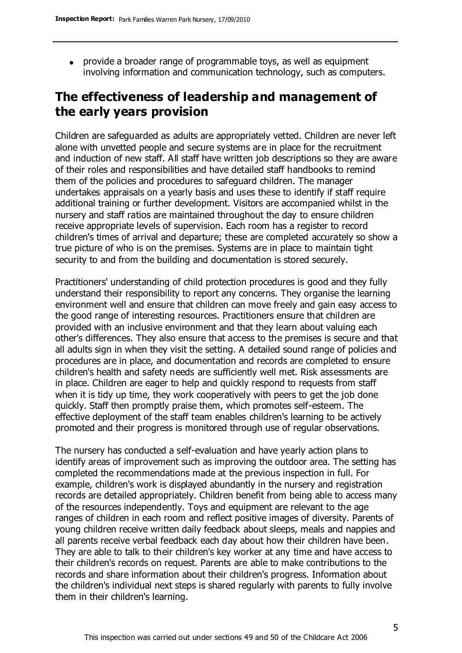provide a broader range of programmable toys, as well as equipment involving information and communication technology, such as computers.

# **The effectiveness of leadership and management of the early years provision**

Children are safeguarded as adults are appropriately vetted. Children are never left alone with unvetted people and secure systems are in place for the recruitment and induction of new staff. All staff have written job descriptions so they are aware of their roles and responsibilities and have detailed staff handbooks to remind them of the policies and procedures to safeguard children. The manager undertakes appraisals on a yearly basis and uses these to identify if staff require additional training or further development. Visitors are accompanied whilst in the nursery and staff ratios are maintained throughout the day to ensure children receive appropriate levels of supervision. Each room has a register to record children's times of arrival and departure; these are completed accurately so show a true picture of who is on the premises. Systems are in place to maintain tight security to and from the building and documentation is stored securely.

Practitioners' understanding of child protection procedures is good and they fully understand their responsibility to report any concerns. They organise the learning environment well and ensure that children can move freely and gain easy access to the good range of interesting resources. Practitioners ensure that children are provided with an inclusive environment and that they learn about valuing each other's differences. They also ensure that access to the premises is secure and that all adults sign in when they visit the setting. A detailed sound range of policies and procedures are in place, and documentation and records are completed to ensure children's health and safety needs are sufficiently well met. Risk assessments are in place. Children are eager to help and quickly respond to requests from staff when it is tidy up time, they work cooperatively with peers to get the job done quickly. Staff then promptly praise them, which promotes self-esteem. The effective deployment of the staff team enables children's learning to be actively promoted and their progress is monitored through use of regular observations.

The nursery has conducted a self-evaluation and have yearly action plans to identify areas of improvement such as improving the outdoor area. The setting has completed the recommendations made at the previous inspection in full. For example, children's work is displayed abundantly in the nursery and registration records are detailed appropriately. Children benefit from being able to access many of the resources independently. Toys and equipment are relevant to the age ranges of children in each room and reflect positive images of diversity. Parents of young children receive written daily feedback about sleeps, meals and nappies and all parents receive verbal feedback each day about how their children have been. They are able to talk to their children's key worker at any time and have access to their children's records on request. Parents are able to make contributions to the records and share information about their children's progress. Information about the children's individual next steps is shared regularly with parents to fully involve them in their children's learning.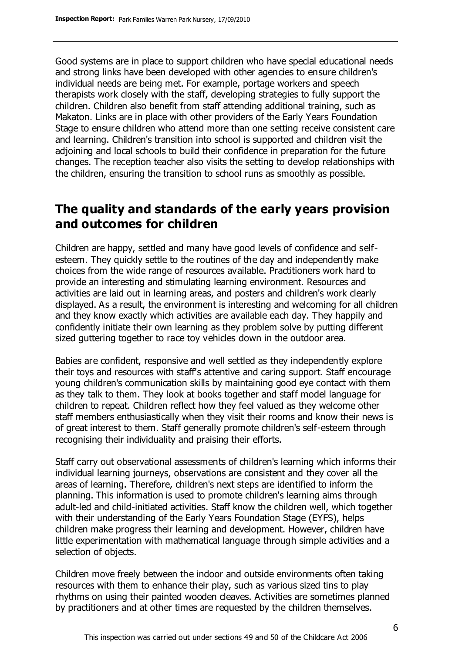Good systems are in place to support children who have special educational needs and strong links have been developed with other agencies to ensure children's individual needs are being met. For example, portage workers and speech therapists work closely with the staff, developing strategies to fully support the children. Children also benefit from staff attending additional training, such as Makaton. Links are in place with other providers of the Early Years Foundation Stage to ensure children who attend more than one setting receive consistent care and learning. Children's transition into school is supported and children visit the adjoining and local schools to build their confidence in preparation for the future changes. The reception teacher also visits the setting to develop relationships with the children, ensuring the transition to school runs as smoothly as possible.

# **The quality and standards of the early years provision and outcomes for children**

Children are happy, settled and many have good levels of confidence and selfesteem. They quickly settle to the routines of the day and independently make choices from the wide range of resources available. Practitioners work hard to provide an interesting and stimulating learning environment. Resources and activities are laid out in learning areas, and posters and children's work clearly displayed. As a result, the environment is interesting and welcoming for all children and they know exactly which activities are available each day. They happily and confidently initiate their own learning as they problem solve by putting different sized guttering together to race toy vehicles down in the outdoor area.

Babies are confident, responsive and well settled as they independently explore their toys and resources with staff's attentive and caring support. Staff encourage young children's communication skills by maintaining good eye contact with them as they talk to them. They look at books together and staff model language for children to repeat. Children reflect how they feel valued as they welcome other staff members enthusiastically when they visit their rooms and know their news is of great interest to them. Staff generally promote children's self-esteem through recognising their individuality and praising their efforts.

Staff carry out observational assessments of children's learning which informs their individual learning journeys, observations are consistent and they cover all the areas of learning. Therefore, children's next steps are identified to inform the planning. This information is used to promote children's learning aims through adult-led and child-initiated activities. Staff know the children well, which together with their understanding of the Early Years Foundation Stage (EYFS), helps children make progress their learning and development. However, children have little experimentation with mathematical language through simple activities and a selection of objects.

Children move freely between the indoor and outside environments often taking resources with them to enhance their play, such as various sized tins to play rhythms on using their painted wooden cleaves. Activities are sometimes planned by practitioners and at other times are requested by the children themselves.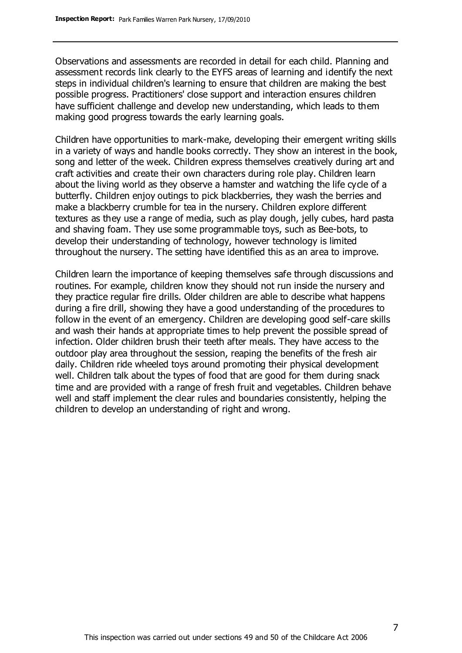Observations and assessments are recorded in detail for each child. Planning and assessment records link clearly to the EYFS areas of learning and identify the next steps in individual children's learning to ensure that children are making the best possible progress. Practitioners' close support and interaction ensures children have sufficient challenge and develop new understanding, which leads to them making good progress towards the early learning goals.

Children have opportunities to mark-make, developing their emergent writing skills in a variety of ways and handle books correctly. They show an interest in the book, song and letter of the week. Children express themselves creatively during art and craft activities and create their own characters during role play. Children learn about the living world as they observe a hamster and watching the life cycle of a butterfly. Children enjoy outings to pick blackberries, they wash the berries and make a blackberry crumble for tea in the nursery. Children explore different textures as they use a range of media, such as play dough, jelly cubes, hard pasta and shaving foam. They use some programmable toys, such as Bee-bots, to develop their understanding of technology, however technology is limited throughout the nursery. The setting have identified this as an area to improve.

Children learn the importance of keeping themselves safe through discussions and routines. For example, children know they should not run inside the nursery and they practice regular fire drills. Older children are able to describe what happens during a fire drill, showing they have a good understanding of the procedures to follow in the event of an emergency. Children are developing good self-care skills and wash their hands at appropriate times to help prevent the possible spread of infection. Older children brush their teeth after meals. They have access to the outdoor play area throughout the session, reaping the benefits of the fresh air daily. Children ride wheeled toys around promoting their physical development well. Children talk about the types of food that are good for them during snack time and are provided with a range of fresh fruit and vegetables. Children behave well and staff implement the clear rules and boundaries consistently, helping the children to develop an understanding of right and wrong.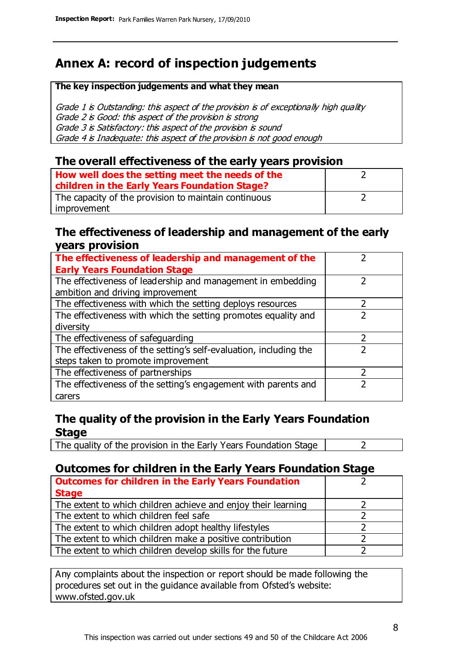# **Annex A: record of inspection judgements**

#### **The key inspection judgements and what they mean**

Grade 1 is Outstanding: this aspect of the provision is of exceptionally high quality Grade 2 is Good: this aspect of the provision is strong Grade 3 is Satisfactory: this aspect of the provision is sound Grade 4 is Inadequate: this aspect of the provision is not good enough

### **The overall effectiveness of the early years provision**

| How well does the setting meet the needs of the      |  |
|------------------------------------------------------|--|
| children in the Early Years Foundation Stage?        |  |
| The capacity of the provision to maintain continuous |  |
| improvement                                          |  |

### **The effectiveness of leadership and management of the early years provision**

| The effectiveness of leadership and management of the             |  |
|-------------------------------------------------------------------|--|
| <b>Early Years Foundation Stage</b>                               |  |
| The effectiveness of leadership and management in embedding       |  |
| ambition and driving improvement                                  |  |
| The effectiveness with which the setting deploys resources        |  |
| The effectiveness with which the setting promotes equality and    |  |
| diversity                                                         |  |
| The effectiveness of safeguarding                                 |  |
| The effectiveness of the setting's self-evaluation, including the |  |
| steps taken to promote improvement                                |  |
| The effectiveness of partnerships                                 |  |
| The effectiveness of the setting's engagement with parents and    |  |
| carers                                                            |  |

# **The quality of the provision in the Early Years Foundation Stage**

The quality of the provision in the Early Years Foundation Stage  $\vert$  2

# **Outcomes for children in the Early Years Foundation Stage**

| <b>Outcomes for children in the Early Years Foundation</b>    |  |
|---------------------------------------------------------------|--|
| <b>Stage</b>                                                  |  |
| The extent to which children achieve and enjoy their learning |  |
| The extent to which children feel safe                        |  |
| The extent to which children adopt healthy lifestyles         |  |
| The extent to which children make a positive contribution     |  |
| The extent to which children develop skills for the future    |  |

Any complaints about the inspection or report should be made following the procedures set out in the guidance available from Ofsted's website: www.ofsted.gov.uk